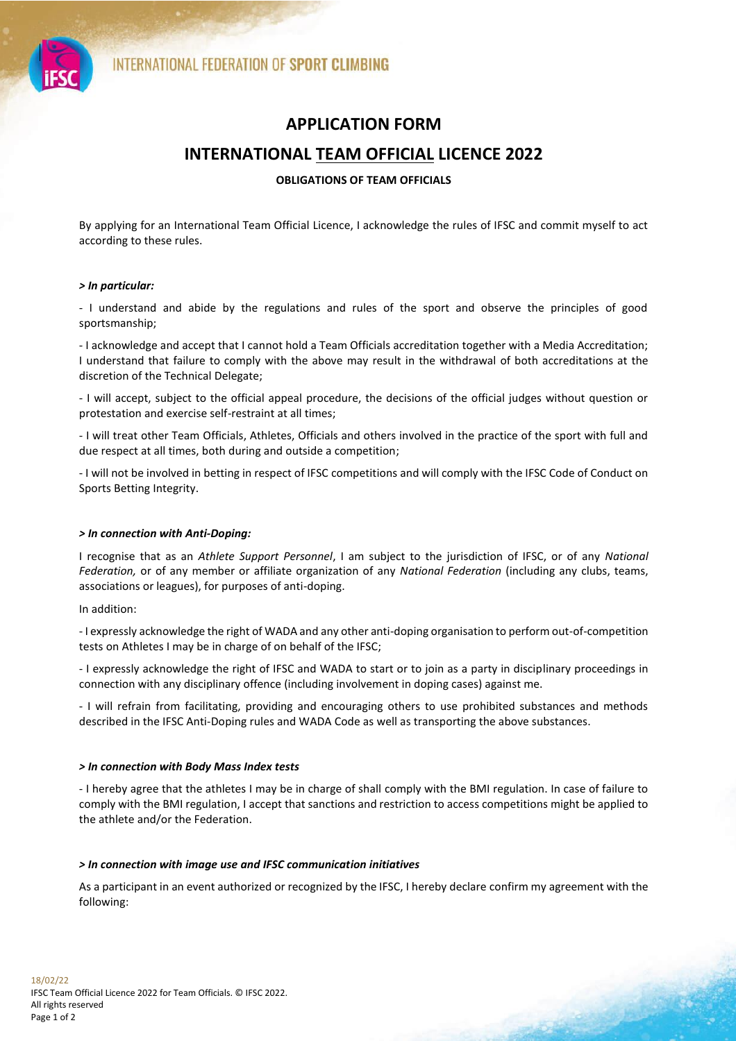



# **APPLICATION FORM**

# **INTERNATIONAL TEAM OFFICIAL LICENCE 2022**

## **OBLIGATIONS OF TEAM OFFICIALS**

By applying for an International Team Official Licence, I acknowledge the rules of IFSC and commit myself to act according to these rules.

#### *> In particular:*

- I understand and abide by the regulations and rules of the sport and observe the principles of good sportsmanship;

- I acknowledge and accept that I cannot hold a Team Officials accreditation together with a Media Accreditation; I understand that failure to comply with the above may result in the withdrawal of both accreditations at the discretion of the Technical Delegate;

- I will accept, subject to the official appeal procedure, the decisions of the official judges without question or protestation and exercise self-restraint at all times;

- I will treat other Team Officials, Athletes, Officials and others involved in the practice of the sport with full and due respect at all times, both during and outside a competition;

- I will not be involved in betting in respect of IFSC competitions and will comply with the IFSC Code of Conduct on Sports Betting Integrity.

## *> In connection with Anti-Doping:*

I recognise that as an *Athlete Support Personnel*, I am subject to the jurisdiction of IFSC, or of any *National Federation,* or of any member or affiliate organization of any *National Federation* (including any clubs, teams, associations or leagues), for purposes of anti-doping.

In addition:

- I expressly acknowledge the right of WADA and any other anti-doping organisation to perform out-of-competition tests on Athletes I may be in charge of on behalf of the IFSC;

- I expressly acknowledge the right of IFSC and WADA to start or to join as a party in disciplinary proceedings in connection with any disciplinary offence (including involvement in doping cases) against me.

- I will refrain from facilitating, providing and encouraging others to use prohibited substances and methods described in the IFSC Anti-Doping rules and WADA Code as well as transporting the above substances.

#### *> In connection with Body Mass Index tests*

- I hereby agree that the athletes I may be in charge of shall comply with the BMI regulation. In case of failure to comply with the BMI regulation, I accept that sanctions and restriction to access competitions might be applied to the athlete and/or the Federation.

#### *> In connection with image use and IFSC communication initiatives*

As a participant in an event authorized or recognized by the IFSC, I hereby declare confirm my agreement with the following: